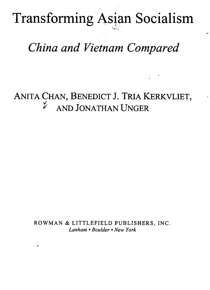Transforming Asian Socialism

## *China and Vietnam Compared*

ANITA CHAN, BENEDICT J. TRIA KERKVLIET, *t* AND JONATHAN UNGER

> ROWMAN & LITTLEFIELD PUBLISHERS, INC. *Lanham* • *Boulder* • *New York*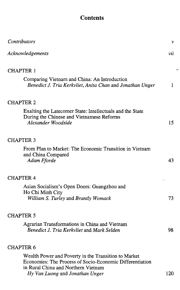## **Contents**

╭

| Contributors                                                                                                                                                                               | ν   |
|--------------------------------------------------------------------------------------------------------------------------------------------------------------------------------------------|-----|
| Acknowledgements                                                                                                                                                                           | vii |
| <b>CHAPTER 1</b>                                                                                                                                                                           |     |
| Comparing Vietnam and China: An Introduction<br>Benedict J. Tria Kerkvliet, Anita Chan and Jonathan Unger                                                                                  | 1.  |
| <b>CHAPTER 2</b>                                                                                                                                                                           |     |
| Exalting the Latecomer State: Intellectuals and the State<br>During the Chinese and Vietnamese Reforms<br>Alexander Woodside                                                               | 15  |
| <b>CHAPTER 3</b>                                                                                                                                                                           |     |
| From Plan to Market: The Economic Transition in Vietnam<br>and China Compared<br>Adam Fforde                                                                                               | 43  |
| <b>CHAPTER 4</b>                                                                                                                                                                           |     |
| Asian Socialism's Open Doors: Guangzhou and<br>Ho Chi Minh City<br>William S. Turley and Brantly Womack                                                                                    | 73  |
| <b>CHAPTER 5</b>                                                                                                                                                                           |     |
| Agrarian Transformations in China and Vietnam<br>Benedict J. Tria Kerkvliet and Mark Selden                                                                                                | 98  |
| <b>CHAPTER 6</b>                                                                                                                                                                           |     |
| Wealth Power and Poverty in the Transition to Market<br>Economies: The Process of Socio-Economic Differentiation<br>in Rural China and Northern Vietnam<br>Hy Van Luong and Jonathan Unger | 120 |